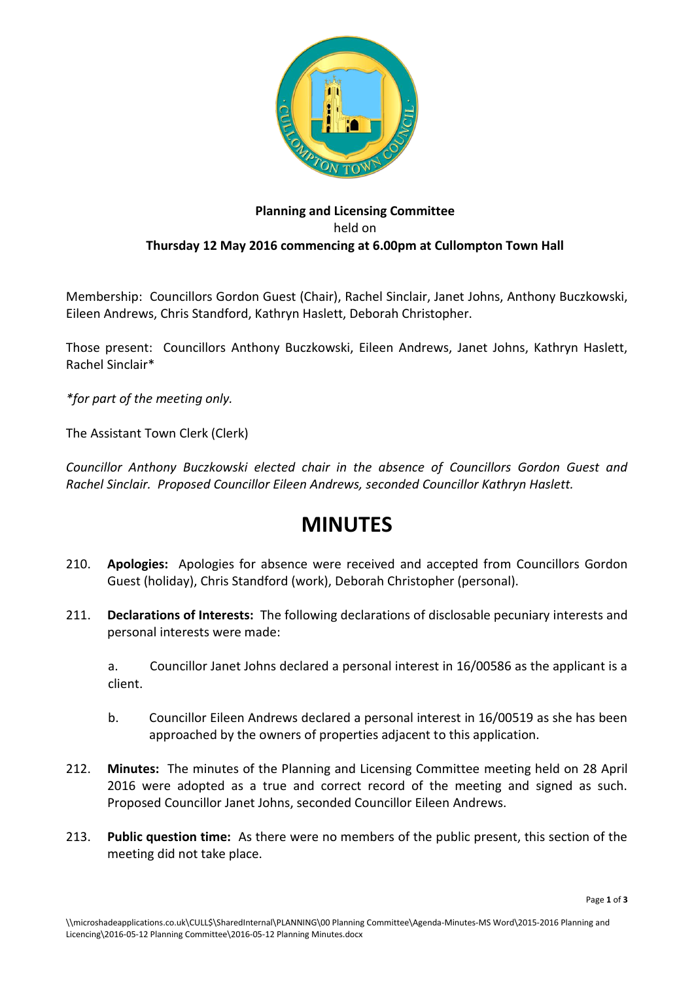

## **Planning and Licensing Committee** held on **Thursday 12 May 2016 commencing at 6.00pm at Cullompton Town Hall**

Membership: Councillors Gordon Guest (Chair), Rachel Sinclair, Janet Johns, Anthony Buczkowski, Eileen Andrews, Chris Standford, Kathryn Haslett, Deborah Christopher.

Those present: Councillors Anthony Buczkowski, Eileen Andrews, Janet Johns, Kathryn Haslett, Rachel Sinclair\*

*\*for part of the meeting only.*

The Assistant Town Clerk (Clerk)

*Councillor Anthony Buczkowski elected chair in the absence of Councillors Gordon Guest and Rachel Sinclair. Proposed Councillor Eileen Andrews, seconded Councillor Kathryn Haslett.*

## **MINUTES**

- 210. **Apologies:** Apologies for absence were received and accepted from Councillors Gordon Guest (holiday), Chris Standford (work), Deborah Christopher (personal).
- 211. **Declarations of Interests:** The following declarations of disclosable pecuniary interests and personal interests were made:

a. Councillor Janet Johns declared a personal interest in 16/00586 as the applicant is a client.

- b. Councillor Eileen Andrews declared a personal interest in 16/00519 as she has been approached by the owners of properties adjacent to this application.
- 212. **Minutes:** The minutes of the Planning and Licensing Committee meeting held on 28 April 2016 were adopted as a true and correct record of the meeting and signed as such. Proposed Councillor Janet Johns, seconded Councillor Eileen Andrews.
- 213. **Public question time:** As there were no members of the public present, this section of the meeting did not take place.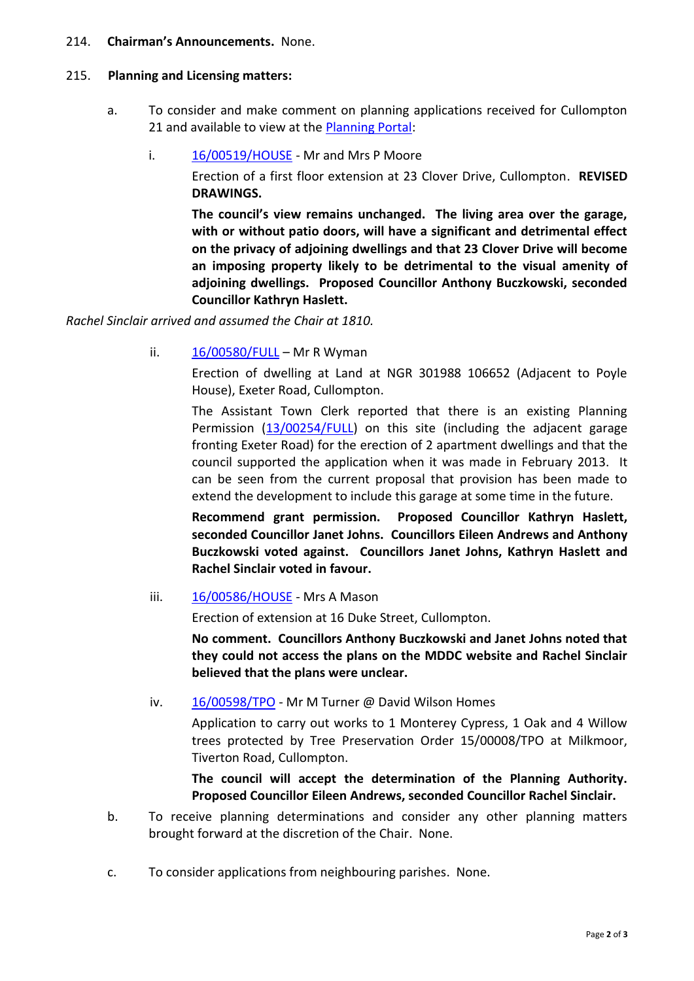## 214. **Chairman's Announcements.** None.

## 215. **Planning and Licensing matters:**

- a. To consider and make comment on planning applications received for Cullompton 21 and available to view at the [Planning Portal:](http://planning.middevon.gov.uk/online-applications/refineSearch.do?action=refine)
	- i. [16/00519/HOUSE](http://docs.middevon.gov.uk/pap/index.asp?caseref=16/00519/HOUSE) Mr and Mrs P Moore

Erection of a first floor extension at 23 Clover Drive, Cullompton. **REVISED DRAWINGS.**

**The council's view remains unchanged. The living area over the garage, with or without patio doors, will have a significant and detrimental effect on the privacy of adjoining dwellings and that 23 Clover Drive will become an imposing property likely to be detrimental to the visual amenity of adjoining dwellings. Proposed Councillor Anthony Buczkowski, seconded Councillor Kathryn Haslett.**

*Rachel Sinclair arrived and assumed the Chair at 1810.*

ii.  $16/00580/FULL - Mr R Wyman$  $16/00580/FULL - Mr R Wyman$ 

Erection of dwelling at Land at NGR 301988 106652 (Adjacent to Poyle House), Exeter Road, Cullompton.

The Assistant Town Clerk reported that there is an existing Planning Permission [\(13/00254/FULL\)](http://docs.middevon.gov.uk/pap/index.asp?caseref=13/00254/FULL) on this site (including the adjacent garage fronting Exeter Road) for the erection of 2 apartment dwellings and that the council supported the application when it was made in February 2013. It can be seen from the current proposal that provision has been made to extend the development to include this garage at some time in the future.

**Recommend grant permission. Proposed Councillor Kathryn Haslett, seconded Councillor Janet Johns. Councillors Eileen Andrews and Anthony Buczkowski voted against. Councillors Janet Johns, Kathryn Haslett and Rachel Sinclair voted in favour.**

iii. [16/00586/HOUSE](http://docs.middevon.gov.uk/pap/index.asp?caseref=16/00586/HOUSE) - Mrs A Mason

Erection of extension at 16 Duke Street, Cullompton.

**No comment. Councillors Anthony Buczkowski and Janet Johns noted that they could not access the plans on the MDDC website and Rachel Sinclair believed that the plans were unclear.**

iv. [16/00598/TPO](http://docs.middevon.gov.uk/pap/index.asp?caseref=16/00598/TPO) - Mr M Turner @ David Wilson Homes

Application to carry out works to 1 Monterey Cypress, 1 Oak and 4 Willow trees protected by Tree Preservation Order 15/00008/TPO at Milkmoor, Tiverton Road, Cullompton.

**The council will accept the determination of the Planning Authority. Proposed Councillor Eileen Andrews, seconded Councillor Rachel Sinclair.**

- b. To receive planning determinations and consider any other planning matters brought forward at the discretion of the Chair. None.
- c. To consider applications from neighbouring parishes. None.